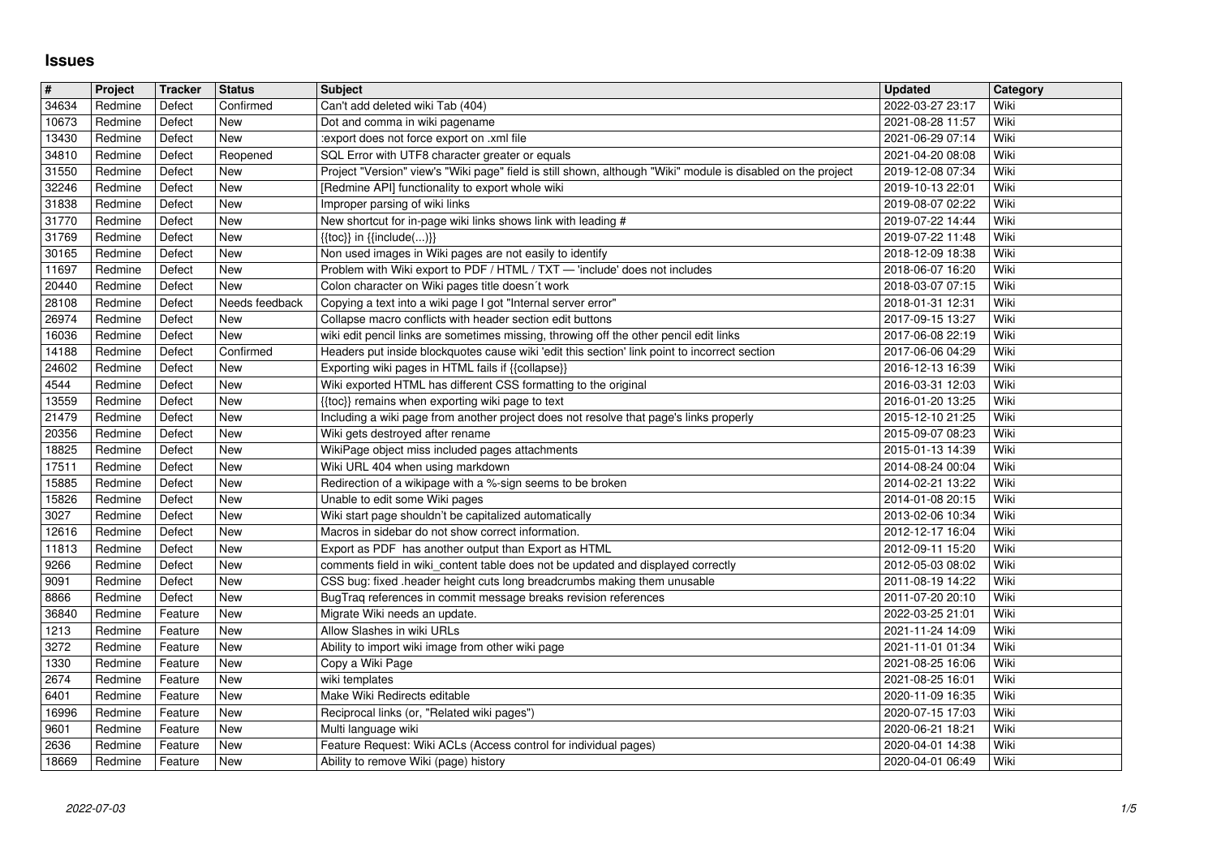## **Issues**

| $\sqrt{t}$     | Project            | <b>Tracker</b>     | <b>Status</b>     | <b>Subject</b>                                                                                                                                                                          | <b>Updated</b>                       | Category     |
|----------------|--------------------|--------------------|-------------------|-----------------------------------------------------------------------------------------------------------------------------------------------------------------------------------------|--------------------------------------|--------------|
| 34634          | Redmine            | Defect             | Confirmed         | Can't add deleted wiki Tab (404)                                                                                                                                                        | 2022-03-27 23:17                     | Wiki         |
| 10673          | Redmine            | Defect             | New               | Dot and comma in wiki pagename                                                                                                                                                          | 2021-08-28 11:57                     | Wiki         |
| 13430<br>34810 | Redmine<br>Redmine | Defect<br>Defect   | New<br>Reopened   | :export does not force export on .xml file<br>SQL Error with UTF8 character greater or equals                                                                                           | 2021-06-29 07:14<br>2021-04-20 08:08 | Wiki<br>Wiki |
| 31550          | Redmine            | Defect             | New               | Project "Version" view's "Wiki page" field is still shown, although "Wiki" module is disabled on the project                                                                            | 2019-12-08 07:34                     | Wiki         |
| 32246          | Redmine            | Defect             | New               | [Redmine API] functionality to export whole wiki                                                                                                                                        | 2019-10-13 22:01                     | Wiki         |
| 31838          | Redmine            | Defect             | New               | Improper parsing of wiki links                                                                                                                                                          | 2019-08-07 02:22                     | Wiki         |
| 31770<br>31769 | Redmine            | Defect             | New               | New shortcut for in-page wiki links shows link with leading #                                                                                                                           | 2019-07-22 14:44                     | Wiki<br>Wiki |
| 30165          | Redmine<br>Redmine | Defect<br>Defect   | New<br>New        | $\{ \{ \text{toc} \} \}$ in $\{ \{ \text{include} () \} \}$<br>Non used images in Wiki pages are not easily to identify                                                                 | 2019-07-22 11:48<br>2018-12-09 18:38 | Wiki         |
| 11697          | Redmine            | Defect             | New               | Problem with Wiki export to PDF / HTML / TXT - 'include' does not includes                                                                                                              | 2018-06-07 16:20                     | Wiki         |
| 20440          | Redmine            | Defect             | New               | Colon character on Wiki pages title doesn't work                                                                                                                                        | 2018-03-07 07:15                     | Wiki         |
| 28108          | Redmine            | Defect             | Needs feedback    | Copying a text into a wiki page I got "Internal server error"                                                                                                                           | 2018-01-31 12:31                     | Wiki         |
| 26974          | Redmine            | Defect             | New               | Collapse macro conflicts with header section edit buttons                                                                                                                               | 2017-09-15 13:27                     | Wiki         |
| 16036<br>14188 | Redmine<br>Redmine | Defect<br>Defect   | New<br>Confirmed  | wiki edit pencil links are sometimes missing, throwing off the other pencil edit links<br>Headers put inside blockquotes cause wiki 'edit this section' link point to incorrect section | 2017-06-08 22:19<br>2017-06-06 04:29 | Wiki<br>Wiki |
| 24602          | Redmine            | Defect             | New               | Exporting wiki pages in HTML fails if {{collapse}}                                                                                                                                      | 2016-12-13 16:39                     | Wiki         |
| 4544           | Redmine            | Defect             | New               | Wiki exported HTML has different CSS formatting to the original                                                                                                                         | 2016-03-31 12:03                     | Wiki         |
| 13559          | Redmine            | Defect             | New               | {{toc}} remains when exporting wiki page to text                                                                                                                                        | 2016-01-20 13:25                     | Wiki         |
| 21479          | Redmine            | Defect             | New               | Including a wiki page from another project does not resolve that page's links properly                                                                                                  | 2015-12-10 21:25                     | Wiki         |
| 20356<br>18825 | Redmine<br>Redmine | Defect<br>Defect   | <b>New</b><br>New | Wiki gets destroyed after rename<br>WikiPage object miss included pages attachments                                                                                                     | 2015-09-07 08:23<br>2015-01-13 14:39 | Wiki<br>Wiki |
| 17511          | Redmine            | Defect             | New               | Wiki URL 404 when using markdown                                                                                                                                                        | 2014-08-24 00:04                     | Wiki         |
| 15885          | Redmine            | Defect             | New               | Redirection of a wikipage with a %-sign seems to be broken                                                                                                                              | 2014-02-21 13:22                     | Wiki         |
| 15826          | Redmine            | Defect             | New               | Unable to edit some Wiki pages                                                                                                                                                          | 2014-01-08 20:15                     | Wiki         |
| 3027           | Redmine            | Defect             | New               | Wiki start page shouldn't be capitalized automatically                                                                                                                                  | 2013-02-06 10:34                     | Wiki<br>Wiki |
| 12616<br>11813 | Redmine<br>Redmine | Defect<br>Defect   | New<br>New        | Macros in sidebar do not show correct information.<br>Export as PDF has another output than Export as HTML                                                                              | 2012-12-17 16:04<br>2012-09-11 15:20 | Wiki         |
| 9266           | Redmine            | Defect             | New               | comments field in wiki_content table does not be updated and displayed correctly                                                                                                        | 2012-05-03 08:02                     | Wiki         |
| 9091           | Redmine            | Defect             | <b>New</b>        | CSS bug: fixed .header height cuts long breadcrumbs making them unusable                                                                                                                | 2011-08-19 14:22                     | Wiki         |
| 8866           | Redmine            | Defect             | New               | BugTraq references in commit message breaks revision references                                                                                                                         | 2011-07-20 20:10                     | Wiki         |
| 36840          | Redmine            | Feature            | New               | Migrate Wiki needs an update.                                                                                                                                                           | 2022-03-25 21:01                     | Wiki         |
| 1213<br>3272   | Redmine<br>Redmine | Feature<br>Feature | New<br>New        | Allow Slashes in wiki URLs<br>Ability to import wiki image from other wiki page                                                                                                         | 2021-11-24 14:09<br>2021-11-01 01:34 | Wiki<br>Wiki |
| 1330           | Redmine            | Feature            | New               | Copy a Wiki Page                                                                                                                                                                        | 2021-08-25 16:06                     | Wiki         |
| 2674           | Redmine            | Feature            | New               | wiki templates                                                                                                                                                                          | 2021-08-25 16:01                     | Wiki         |
| 6401           | Redmine            | Feature            | New               | Make Wiki Redirects editable                                                                                                                                                            | 2020-11-09 16:35                     | Wiki         |
| 16996          | Redmine            | Feature            | New               | Reciprocal links (or, "Related wiki pages")                                                                                                                                             | 2020-07-15 17:03                     | Wiki         |
| 9601<br>2636   | Redmine<br>Redmine | Feature<br>Feature | New<br>New        | Multi language wiki<br>Feature Request: Wiki ACLs (Access control for individual pages)                                                                                                 | 2020-06-21 18:21<br>2020-04-01 14:38 | Wiki<br>Wiki |
|                | Redmine            | Feature            | New               | Ability to remove Wiki (page) history                                                                                                                                                   | 2020-04-01 06:49                     | Wiki         |
| 18669          | 2022-07-03         |                    |                   |                                                                                                                                                                                         |                                      |              |
|                |                    |                    |                   |                                                                                                                                                                                         |                                      |              |
|                |                    |                    |                   |                                                                                                                                                                                         |                                      |              |
|                |                    |                    |                   |                                                                                                                                                                                         |                                      |              |
|                |                    |                    |                   |                                                                                                                                                                                         |                                      |              |
|                |                    |                    |                   |                                                                                                                                                                                         |                                      |              |
|                |                    |                    |                   |                                                                                                                                                                                         |                                      |              |
|                |                    |                    |                   |                                                                                                                                                                                         |                                      |              |
|                |                    |                    |                   |                                                                                                                                                                                         |                                      |              |
|                |                    |                    |                   |                                                                                                                                                                                         |                                      |              |
|                |                    |                    |                   |                                                                                                                                                                                         |                                      |              |
|                |                    |                    |                   |                                                                                                                                                                                         |                                      |              |
|                |                    |                    |                   |                                                                                                                                                                                         |                                      |              |
|                |                    |                    |                   |                                                                                                                                                                                         |                                      |              |
|                |                    |                    |                   |                                                                                                                                                                                         |                                      |              |
|                |                    |                    |                   |                                                                                                                                                                                         |                                      |              |
|                |                    |                    |                   |                                                                                                                                                                                         |                                      |              |
|                |                    |                    |                   |                                                                                                                                                                                         |                                      |              |
|                |                    |                    |                   |                                                                                                                                                                                         |                                      |              |
|                |                    |                    |                   |                                                                                                                                                                                         |                                      |              |
|                |                    |                    |                   |                                                                                                                                                                                         |                                      |              |
|                |                    |                    |                   |                                                                                                                                                                                         |                                      |              |
|                |                    |                    |                   |                                                                                                                                                                                         |                                      |              |
|                |                    |                    |                   |                                                                                                                                                                                         |                                      |              |
|                |                    |                    |                   |                                                                                                                                                                                         |                                      |              |
|                |                    |                    |                   |                                                                                                                                                                                         |                                      |              |
|                |                    |                    |                   |                                                                                                                                                                                         |                                      |              |
|                |                    |                    |                   |                                                                                                                                                                                         |                                      |              |
|                |                    |                    |                   |                                                                                                                                                                                         |                                      |              |
|                |                    |                    |                   |                                                                                                                                                                                         |                                      |              |
|                |                    |                    |                   |                                                                                                                                                                                         |                                      |              |
|                |                    |                    |                   |                                                                                                                                                                                         |                                      |              |
|                |                    |                    |                   |                                                                                                                                                                                         |                                      |              |
|                |                    |                    |                   |                                                                                                                                                                                         |                                      |              |
|                |                    |                    |                   |                                                                                                                                                                                         |                                      |              |
|                |                    |                    |                   |                                                                                                                                                                                         |                                      |              |
|                |                    |                    |                   |                                                                                                                                                                                         |                                      |              |
|                |                    |                    |                   |                                                                                                                                                                                         |                                      |              |
|                |                    |                    |                   |                                                                                                                                                                                         |                                      |              |
|                |                    |                    |                   |                                                                                                                                                                                         |                                      |              |
|                |                    |                    |                   |                                                                                                                                                                                         |                                      |              |
|                |                    |                    |                   |                                                                                                                                                                                         |                                      |              |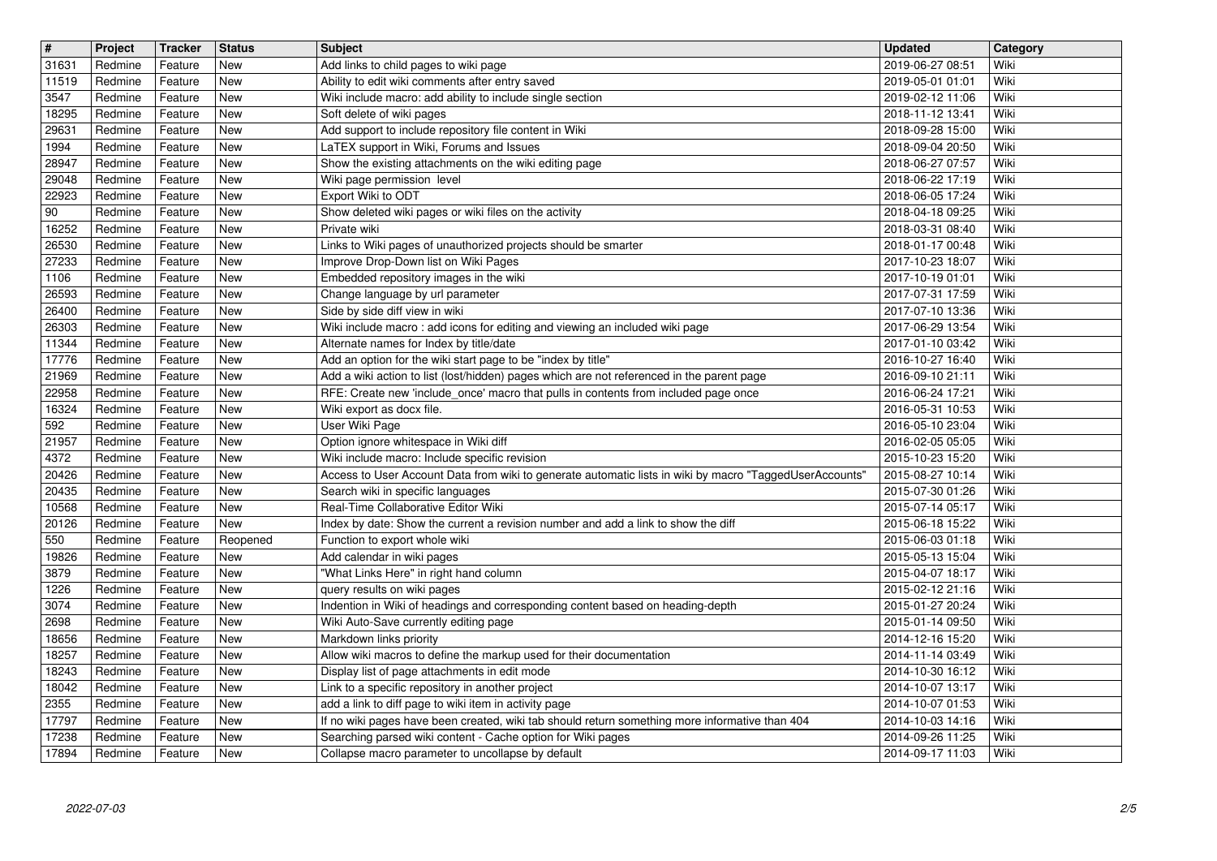| $\overline{\mathbf{H}}$ | Project            | Tracker            | <b>Status</b>            | <b>Subject</b>                                                                                                                                           | <b>Updated</b>                       | Category     |
|-------------------------|--------------------|--------------------|--------------------------|----------------------------------------------------------------------------------------------------------------------------------------------------------|--------------------------------------|--------------|
| 31631<br>11519          | Redmine<br>Redmine | Feature<br>Feature | <b>New</b><br>New        | Add links to child pages to wiki page<br>Ability to edit wiki comments after entry saved                                                                 | 2019-06-27 08:51<br>2019-05-01 01:01 | Wiki<br>Wiki |
| 3547                    | Redmine            | Feature            | <b>New</b>               | Wiki include macro: add ability to include single section                                                                                                | 2019-02-12 11:06                     | Wiki         |
| 18295<br>29631          | Redmine<br>Redmine | Feature<br>Feature | New<br>New               | Soft delete of wiki pages<br>Add support to include repository file content in Wiki                                                                      | 2018-11-12 13:41<br>2018-09-28 15:00 | Wiki<br>Wiki |
| 1994                    | Redmine            | Feature            | New                      | LaTEX support in Wiki, Forums and Issues                                                                                                                 | 2018-09-04 20:50                     | Wiki         |
| 28947<br>29048          | Redmine<br>Redmine | Feature<br>Feature | New<br>New               | Show the existing attachments on the wiki editing page<br>Wiki page permission level                                                                     | 2018-06-27 07:57<br>2018-06-22 17:19 | Wiki<br>Wiki |
| 22923                   | Redmine            | Feature            | New                      | Export Wiki to ODT                                                                                                                                       | 2018-06-05 17:24                     | Wiki         |
| $90\,$                  | Redmine            | Feature            | <b>New</b>               | Show deleted wiki pages or wiki files on the activity                                                                                                    | 2018-04-18 09:25                     | Wiki         |
| 16252<br>26530          | Redmine<br>Redmine | Feature<br>Feature | <b>New</b><br><b>New</b> | Private wiki<br>Links to Wiki pages of unauthorized projects should be smarter                                                                           | 2018-03-31 08:40<br>2018-01-17 00:48 | Wiki<br>Wiki |
| 27233                   | Redmine            | Feature            | New                      | Improve Drop-Down list on Wiki Pages                                                                                                                     | 2017-10-23 18:07                     | Wiki         |
| 1106<br>26593           | Redmine<br>Redmine | Feature<br>Feature | New<br>New               | Embedded repository images in the wiki<br>Change language by url parameter                                                                               | 2017-10-19 01:01<br>2017-07-31 17:59 | Wiki<br>Wiki |
| 26400                   | Redmine            | Feature            | New                      | Side by side diff view in wiki                                                                                                                           | 2017-07-10 13:36                     | Wiki         |
| 26303                   | Redmine            | Feature            | New                      | Wiki include macro: add icons for editing and viewing an included wiki page                                                                              | 2017-06-29 13:54                     | Wiki         |
| 11344<br>17776          | Redmine<br>Redmine | Feature<br>Feature | New<br>New               | Alternate names for Index by title/date<br>Add an option for the wiki start page to be "index by title"                                                  | 2017-01-10 03:42<br>2016-10-27 16:40 | Wiki<br>Wiki |
| 21969                   | Redmine            | Feature            | <b>New</b>               | Add a wiki action to list (lost/hidden) pages which are not referenced in the parent page                                                                | 2016-09-10 21:11                     | Wiki         |
| 22958<br>16324          | Redmine<br>Redmine | Feature<br>Feature | New<br>New               | RFE: Create new 'include_once' macro that pulls in contents from included page once<br>Wiki export as docx file.                                         | 2016-06-24 17:21<br>2016-05-31 10:53 | Wiki<br>Wiki |
| 592                     | Redmine            | Feature            | New                      | User Wiki Page                                                                                                                                           | 2016-05-10 23:04                     | Wiki         |
| 21957                   | Redmine            | Feature            | New                      | Option ignore whitespace in Wiki diff                                                                                                                    | 2016-02-05 05:05<br>2015-10-23 15:20 | Wiki         |
| 4372<br>20426           | Redmine<br>Redmine | Feature<br>Feature | New<br>New               | Wiki include macro: Include specific revision<br>Access to User Account Data from wiki to generate automatic lists in wiki by macro "TaggedUserAccounts" | 2015-08-27 10:14                     | Wiki<br>Wiki |
| 20435                   | Redmine            | Feature            | New                      | Search wiki in specific languages                                                                                                                        | 2015-07-30 01:26                     | Wiki         |
| 10568<br>20126          | Redmine<br>Redmine | Feature<br>Feature | <b>New</b><br>New        | Real-Time Collaborative Editor Wiki<br>Index by date: Show the current a revision number and add a link to show the diff                                 | 2015-07-14 05:17<br>2015-06-18 15:22 | Wiki<br>Wiki |
| 550                     | Redmine            | Feature            | Reopened                 | Function to export whole wiki                                                                                                                            | 2015-06-03 01:18                     | Wiki         |
| 19826                   | Redmine            | Feature            | New<br>New               | Add calendar in wiki pages<br>"What Links Here" in right hand column                                                                                     | 2015-05-13 15:04                     | Wiki<br>Wiki |
| 3879<br>1226            | Redmine<br>Redmine | Feature<br>Feature | New                      | query results on wiki pages                                                                                                                              | 2015-04-07 18:17<br>2015-02-12 21:16 | Wiki         |
| 3074                    | Redmine            | Feature            | New                      | Indention in Wiki of headings and corresponding content based on heading-depth                                                                           | 2015-01-27 20:24                     | Wiki         |
| 2698<br>18656           | Redmine<br>Redmine | Feature<br>Feature | New<br>New               | Wiki Auto-Save currently editing page<br>Markdown links priority                                                                                         | 2015-01-14 09:50<br>2014-12-16 15:20 | Wiki<br>Wiki |
| 18257                   | Redmine            | Feature            | New                      | Allow wiki macros to define the markup used for their documentation                                                                                      | 2014-11-14 03:49                     | Wiki         |
| 18243<br>18042          | Redmine<br>Redmine | Feature<br>Feature | New<br>New               | Display list of page attachments in edit mode<br>Link to a specific repository in another project                                                        | 2014-10-30 16:12<br>2014-10-07 13:17 | Wiki<br>Wiki |
| 2355                    | Redmine            | Feature            | New                      | add a link to diff page to wiki item in activity page                                                                                                    | 2014-10-07 01:53                     | Wiki         |
| 17797                   | Redmine            | Feature            | New                      | If no wiki pages have been created, wiki tab should return something more informative than 404                                                           | 2014-10-03 14:16                     | Wiki         |
| 17238<br>17894          | Redmine<br>Redmine | Feature<br>Feature | New<br>New               | Searching parsed wiki content - Cache option for Wiki pages<br>Collapse macro parameter to uncollapse by default                                         | 2014-09-26 11:25<br>2014-09-17 11:03 | Wiki<br>Wiki |
|                         |                    |                    |                          |                                                                                                                                                          |                                      |              |
|                         |                    |                    |                          |                                                                                                                                                          |                                      |              |
|                         |                    |                    |                          |                                                                                                                                                          |                                      |              |
|                         |                    |                    |                          |                                                                                                                                                          |                                      |              |
|                         |                    |                    |                          |                                                                                                                                                          |                                      |              |
|                         |                    |                    |                          |                                                                                                                                                          |                                      |              |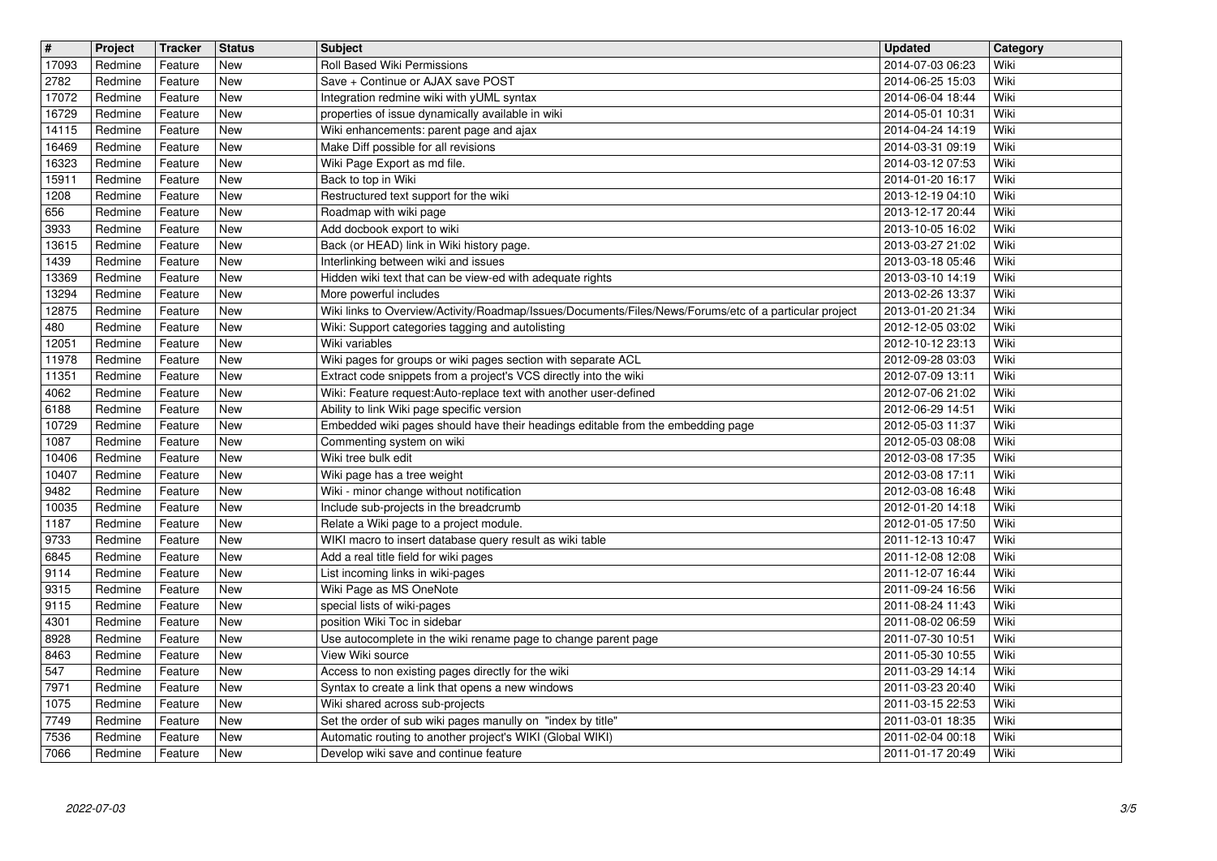| $\sqrt{t}$ | Project | <b>Tracker</b> | <b>Status</b> | <b>Subject</b>                                                                                         | <b>Updated</b>   | Category |
|------------|---------|----------------|---------------|--------------------------------------------------------------------------------------------------------|------------------|----------|
| 17093      | Redmine | Feature        | New           | Roll Based Wiki Permissions                                                                            | 2014-07-03 06:23 | Wiki     |
| 2782       | Redmine | Feature        | New           | Save + Continue or AJAX save POST                                                                      | 2014-06-25 15:03 | Wiki     |
| 17072      | Redmine | Feature        | <b>New</b>    | Integration redmine wiki with yUML syntax                                                              | 2014-06-04 18:44 | Wiki     |
| 16729      | Redmine | Feature        | <b>New</b>    | properties of issue dynamically available in wiki                                                      | 2014-05-01 10:31 | Wiki     |
| 14115      | Redmine | Feature        | New           | Wiki enhancements: parent page and ajax                                                                | 2014-04-24 14:19 | Wiki     |
| 16469      | Redmine | Feature        | New           | Make Diff possible for all revisions                                                                   | 2014-03-31 09:19 | Wiki     |
| 16323      | Redmine | Feature        | New           | Wiki Page Export as md file.                                                                           | 2014-03-12 07:53 | Wiki     |
| 15911      | Redmine | Feature        | New           | Back to top in Wiki                                                                                    | 2014-01-20 16:17 | Wiki     |
| 1208       | Redmine | Feature        | New           | Restructured text support for the wiki                                                                 | 2013-12-19 04:10 | Wiki     |
| 656        | Redmine | Feature        | <b>New</b>    | Roadmap with wiki page                                                                                 | 2013-12-17 20:44 | Wiki     |
| 3933       | Redmine | Feature        | <b>New</b>    | Add docbook export to wiki                                                                             | 2013-10-05 16:02 | Wiki     |
| 13615      | Redmine | Feature        | <b>New</b>    | Back (or HEAD) link in Wiki history page.                                                              | 2013-03-27 21:02 | Wiki     |
| 1439       | Redmine | Feature        | <b>New</b>    | Interlinking between wiki and issues                                                                   | 2013-03-18 05:46 | Wiki     |
| 13369      | Redmine | Feature        | New           | Hidden wiki text that can be view-ed with adequate rights                                              | 2013-03-10 14:19 | Wiki     |
| 13294      | Redmine | Feature        | New           | More powerful includes                                                                                 | 2013-02-26 13:37 | Wiki     |
| 12875      | Redmine | Feature        | New           | Wiki links to Overview/Activity/Roadmap/Issues/Documents/Files/News/Forums/etc of a particular project | 2013-01-20 21:34 | Wiki     |
| 480        | Redmine | Feature        | New           | Wiki: Support categories tagging and autolisting                                                       | 2012-12-05 03:02 | Wiki     |
| 12051      | Redmine | Feature        | New           | Wiki variables                                                                                         | 2012-10-12 23:13 | Wiki     |
| 11978      | Redmine | Feature        | <b>New</b>    | Wiki pages for groups or wiki pages section with separate ACL                                          | 2012-09-28 03:03 | Wiki     |
| 11351      | Redmine | Feature        | <b>New</b>    | Extract code snippets from a project's VCS directly into the wiki                                      | 2012-07-09 13:11 | Wiki     |
| 4062       | Redmine | Feature        | New           | Wiki: Feature request:Auto-replace text with another user-defined                                      | 2012-07-06 21:02 | Wiki     |
| 6188       | Redmine | Feature        | <b>New</b>    | Ability to link Wiki page specific version                                                             | 2012-06-29 14:51 | Wiki     |
| 10729      | Redmine | Feature        | New           | Embedded wiki pages should have their headings editable from the embedding page                        | 2012-05-03 11:37 | Wiki     |
| 1087       | Redmine | Feature        | New           | Commenting system on wiki                                                                              | 2012-05-03 08:08 | Wiki     |
| 10406      | Redmine | Feature        | New           | Wiki tree bulk edit                                                                                    | 2012-03-08 17:35 | Wiki     |
| 10407      | Redmine | Feature        | New           | Wiki page has a tree weight                                                                            | 2012-03-08 17:11 | Wiki     |
| 9482       | Redmine | Feature        | New           | Wiki - minor change without notification                                                               | 2012-03-08 16:48 | Wiki     |
| 10035      | Redmine | Feature        | New           | Include sub-projects in the breadcrumb                                                                 | 2012-01-20 14:18 | Wiki     |
| 1187       | Redmine | Feature        | <b>New</b>    | Relate a Wiki page to a project module.                                                                | 2012-01-05 17:50 | Wiki     |
| 9733       | Redmine | Feature        | <b>New</b>    | WIKI macro to insert database query result as wiki table                                               | 2011-12-13 10:47 | Wiki     |
| 6845       | Redmine | Feature        | New           | Add a real title field for wiki pages                                                                  | 2011-12-08 12:08 | Wiki     |
| 9114       | Redmine | Feature        | New           | List incoming links in wiki-pages                                                                      | 2011-12-07 16:44 | Wiki     |
| 9315       | Redmine | Feature        | New           | Wiki Page as MS OneNote                                                                                | 2011-09-24 16:56 | Wiki     |
| 9115       | Redmine | Feature        | New           | special lists of wiki-pages                                                                            | 2011-08-24 11:43 | Wiki     |
| 4301       | Redmine | Feature        | New           | position Wiki Toc in sidebar                                                                           | 2011-08-02 06:59 | Wiki     |
| 8928       | Redmine | Feature        | New           | Use autocomplete in the wiki rename page to change parent page                                         | 2011-07-30 10:51 | Wiki     |
| 8463       | Redmine | Feature        | New           | View Wiki source                                                                                       | 2011-05-30 10:55 | Wiki     |
| 547        | Redmine | Feature        | New           | Access to non existing pages directly for the wiki                                                     | 2011-03-29 14:14 | Wiki     |
| 7971       | Redmine | Feature        | New           | Syntax to create a link that opens a new windows                                                       | 2011-03-23 20:40 | Wiki     |
| 1075       | Redmine | Feature        | New           | Wiki shared across sub-projects                                                                        | 2011-03-15 22:53 | Wiki     |
| 7749       | Redmine | Feature        | New           | Set the order of sub wiki pages manully on "index by title"                                            | 2011-03-01 18:35 | Wiki     |
| 7536       | Redmine | Feature        | New           | Automatic routing to another project's WIKI (Global WIKI)                                              | 2011-02-04 00:18 | Wiki     |
| 7066       | Redmine | Feature        | New           | Develop wiki save and continue feature                                                                 | 2011-01-17 20:49 | Wiki     |
|            |         |                |               |                                                                                                        |                  |          |
|            |         |                |               |                                                                                                        |                  |          |
|            |         |                |               |                                                                                                        |                  |          |
|            |         |                |               |                                                                                                        |                  |          |
|            |         |                |               |                                                                                                        |                  |          |
|            |         |                |               |                                                                                                        |                  |          |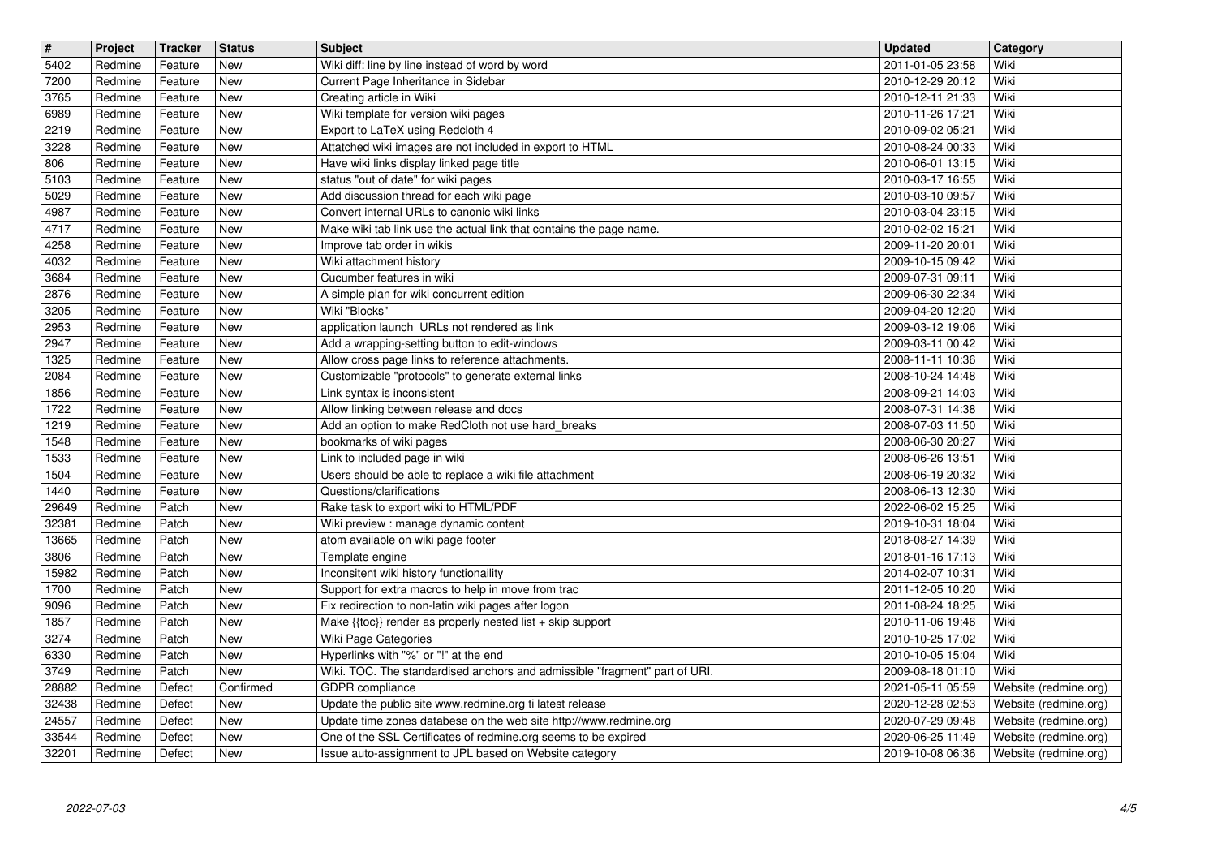| $\overline{\mathbf{H}}$ | Project            | <b>Tracker</b>     | <b>Status</b>            | <b>Subject</b>                                                                                                                | <b>Updated</b>                       | Category                                       |
|-------------------------|--------------------|--------------------|--------------------------|-------------------------------------------------------------------------------------------------------------------------------|--------------------------------------|------------------------------------------------|
| 5402<br>7200            | Redmine<br>Redmine | Feature<br>Feature | <b>New</b><br>New        | Wiki diff: line by line instead of word by word<br>Current Page Inheritance in Sidebar                                        | 2011-01-05 23:58<br>2010-12-29 20:12 | Wiki<br>Wiki                                   |
| 3765                    | Redmine            | Feature            | New                      | Creating article in Wiki                                                                                                      | 2010-12-11 21:33                     | Wiki                                           |
| 6989                    | Redmine            | Feature            | New                      | Wiki template for version wiki pages<br>Export to LaTeX using Redcloth 4                                                      | 2010-11-26 17:21                     | Wiki                                           |
| 2219<br>3228            | Redmine<br>Redmine | Feature<br>Feature | New<br>New               | Attatched wiki images are not included in export to HTML                                                                      | 2010-09-02 05:21<br>2010-08-24 00:33 | Wiki<br>Wiki                                   |
| 806                     | Redmine            | Feature            | New                      | Have wiki links display linked page title                                                                                     | 2010-06-01 13:15                     | Wiki                                           |
| 5103<br>5029            | Redmine<br>Redmine | Feature<br>Feature | <b>New</b><br><b>New</b> | status "out of date" for wiki pages<br>Add discussion thread for each wiki page                                               | 2010-03-17 16:55<br>2010-03-10 09:57 | Wiki<br>Wiki                                   |
| 4987                    | Redmine            | Feature            | <b>New</b>               | Convert internal URLs to canonic wiki links                                                                                   | 2010-03-04 23:15                     | Wiki                                           |
| 4717<br>4258            | Redmine<br>Redmine | Feature<br>Feature | <b>New</b><br><b>New</b> | Make wiki tab link use the actual link that contains the page name.<br>Improve tab order in wikis                             | 2010-02-02 15:21<br>2009-11-20 20:01 | Wiki<br>Wiki                                   |
| 4032                    | Redmine            | Feature            | <b>New</b>               | Wiki attachment history                                                                                                       | 2009-10-15 09:42                     | Wiki                                           |
| 3684<br>2876            | Redmine<br>Redmine | Feature<br>Feature | New<br><b>New</b>        | Cucumber features in wiki<br>A simple plan for wiki concurrent edition                                                        | 2009-07-31 09:11<br>2009-06-30 22:34 | Wiki<br>Wiki                                   |
| 3205                    | Redmine            | Feature            | <b>New</b>               | Wiki "Blocks"                                                                                                                 | 2009-04-20 12:20                     | Wiki                                           |
| 2953<br>2947            | Redmine<br>Redmine | Feature<br>Feature | <b>New</b><br><b>New</b> | application launch URLs not rendered as link<br>Add a wrapping-setting button to edit-windows                                 | 2009-03-12 19:06<br>2009-03-11 00:42 | Wiki<br>Wiki                                   |
| 1325                    | Redmine            | Feature            | <b>New</b>               | Allow cross page links to reference attachments.                                                                              | 2008-11-11 10:36                     | Wiki                                           |
| 2084<br>1856            | Redmine<br>Redmine | Feature<br>Feature | <b>New</b><br><b>New</b> | Customizable "protocols" to generate external links<br>Link syntax is inconsistent                                            | 2008-10-24 14:48<br>2008-09-21 14:03 | Wiki<br>Wiki                                   |
| 1722                    | Redmine            | Feature            | <b>New</b>               | Allow linking between release and docs                                                                                        | 2008-07-31 14:38                     | Wiki                                           |
| 1219                    | Redmine            | Feature            | New                      | Add an option to make RedCloth not use hard_breaks                                                                            | 2008-07-03 11:50                     | Wiki                                           |
| 1548<br>1533            | Redmine<br>Redmine | Feature<br>Feature | <b>New</b><br><b>New</b> | bookmarks of wiki pages<br>Link to included page in wiki                                                                      | 2008-06-30 20:27<br>2008-06-26 13:51 | Wiki<br>Wiki                                   |
| 1504                    | Redmine            | Feature            | <b>New</b>               | Users should be able to replace a wiki file attachment                                                                        | 2008-06-19 20:32                     | Wiki                                           |
| 1440<br>29649           | Redmine<br>Redmine | Feature<br>Patch   | <b>New</b><br><b>New</b> | Questions/clarifications<br>Rake task to export wiki to HTML/PDF                                                              | 2008-06-13 12:30<br>2022-06-02 15:25 | Wiki<br>Wiki                                   |
| 32381                   | Redmine            | Patch              | <b>New</b>               | Wiki preview : manage dynamic content                                                                                         | 2019-10-31 18:04                     | Wiki                                           |
| 13665<br>3806           | Redmine<br>Redmine | Patch<br>Patch     | <b>New</b><br><b>New</b> | atom available on wiki page footer<br>Template engine                                                                         | 2018-08-27 14:39<br>2018-01-16 17:13 | Wiki<br>Wiki                                   |
| 15982                   | Redmine            | Patch              | New                      | Inconsitent wiki history functionaility                                                                                       | 2014-02-07 10:31                     | Wiki                                           |
| 1700                    | Redmine<br>Redmine | Patch              | <b>New</b><br><b>New</b> | Support for extra macros to help in move from trac<br>Fix redirection to non-latin wiki pages after logon                     | 2011-12-05 10:20<br>2011-08-24 18:25 | Wiki<br>Wiki                                   |
| 9096<br>1857            | Redmine            | Patch<br>Patch     | <b>New</b>               | Make {{toc}} render as properly nested list + skip support                                                                    | 2010-11-06 19:46                     | Wiki                                           |
| 3274                    | Redmine            | Patch              | <b>New</b>               | Wiki Page Categories                                                                                                          | 2010-10-25 17:02                     | Wiki                                           |
| 6330<br>3749            | Redmine<br>Redmine | Patch<br>Patch     | New<br>New               | Hyperlinks with "%" or "!" at the end<br>Wiki. TOC. The standardised anchors and admissible "fragment" part of URI.           | 2010-10-05 15:04<br>2009-08-18 01:10 | Wiki<br>Wiki                                   |
| 28882                   | Redmine            | Defect             | Confirmed                | GDPR compliance                                                                                                               | 2021-05-11 05:59                     | Website (redmine.org)                          |
| 32438<br>24557          | Redmine<br>Redmine | Defect<br>Defect   | <b>New</b><br>New        | Update the public site www.redmine.org ti latest release<br>Update time zones databese on the web site http://www.redmine.org | 2020-12-28 02:53<br>2020-07-29 09:48 | Website (redmine.org)<br>Website (redmine.org) |
| 33544                   | Redmine            | Defect             | New                      | One of the SSL Certificates of redmine.org seems to be expired                                                                | 2020-06-25 11:49                     | Website (redmine.org)                          |
| 32201                   | Redmine            | Defect             | New                      | Issue auto-assignment to JPL based on Website category                                                                        | 2019-10-08 06:36                     | Website (redmine.org)                          |
|                         |                    |                    |                          |                                                                                                                               |                                      |                                                |
|                         |                    |                    |                          |                                                                                                                               |                                      |                                                |
|                         |                    |                    |                          |                                                                                                                               |                                      |                                                |
|                         |                    |                    |                          |                                                                                                                               |                                      |                                                |
|                         |                    |                    |                          |                                                                                                                               |                                      |                                                |
|                         |                    |                    |                          |                                                                                                                               |                                      |                                                |
|                         |                    |                    |                          |                                                                                                                               |                                      |                                                |
|                         |                    |                    |                          |                                                                                                                               |                                      |                                                |
|                         |                    |                    |                          |                                                                                                                               |                                      |                                                |
|                         |                    |                    |                          |                                                                                                                               |                                      |                                                |
|                         |                    |                    |                          |                                                                                                                               |                                      |                                                |